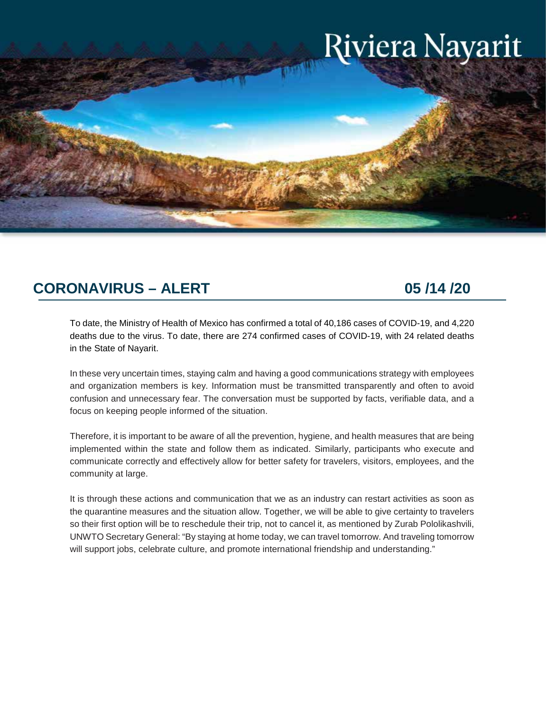# Riviera Nayarit

# **CORONAVIRUS – ALERT 05 /14 /20**

To date, the Ministry of Health of Mexico has confirmed a total of 40,186 cases of COVID-19, and 4,220 deaths due to the virus. To date, there are 274 confirmed cases of COVID-19, with 24 related deaths in the State of Nayarit.

In these very uncertain times, staying calm and having a good communications strategy with employees and organization members is key. Information must be transmitted transparently and often to avoid confusion and unnecessary fear. The conversation must be supported by facts, verifiable data, and a focus on keeping people informed of the situation.

Therefore, it is important to be aware of all the prevention, hygiene, and health measures that are being implemented within the state and follow them as indicated. Similarly, participants who execute and communicate correctly and effectively allow for better safety for travelers, visitors, employees, and the community at large.

It is through these actions and communication that we as an industry can restart activities as soon as the quarantine measures and the situation allow. Together, we will be able to give certainty to travelers so their first option will be to reschedule their trip, not to cancel it, as mentioned by Zurab Pololikashvili, UNWTO Secretary General: "By staying at home today, we can travel tomorrow. And traveling tomorrow will support jobs, celebrate culture, and promote international friendship and understanding."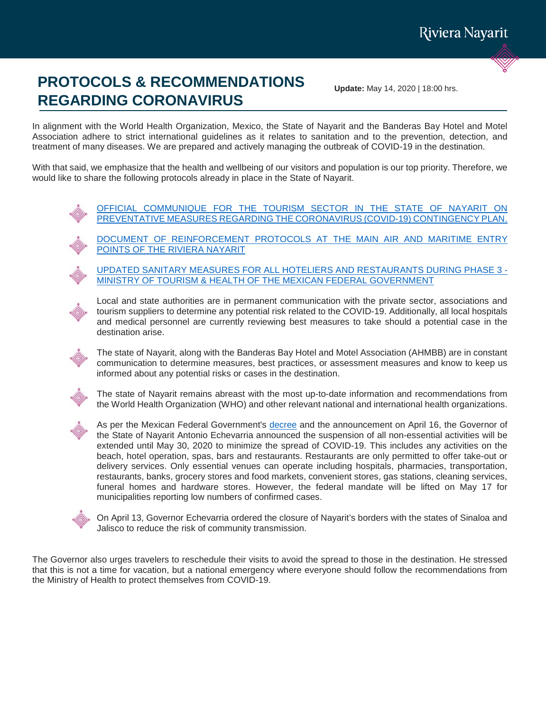# **PROTOCOLS & RECOMMENDATIONS REGARDING CORONAVIRUS**

**Update:** May 14, 2020 | 18:00 hrs.

In alignment with the World Health Organization, Mexico, the State of Nayarit and the Banderas Bay Hotel and Motel Association adhere to strict international guidelines as it relates to sanitation and to the prevention, detection, and treatment of many diseases. We are prepared and actively managing the outbreak of COVID-19 in the destination.

With that said, we emphasize that the health and wellbeing of our visitors and population is our top priority. Therefore, we would like to share the following protocols already in place in the State of Nayarit.

> [OFFICIAL COMMUNIQUE FOR THE TOURISM SECTOR IN THE STATE OF NAYARIT ON](https://www.rivieranayarit.com/wp-content/uploads/2020/03/EnglishOFICIO-138-COMUNICADO-SECTUR-CORONAVIRUS-general.pdf)  [PREVENTATIVE MEASURES REGARDING THE CORONAVIRUS \(COVID-19\) CONTINGENCY PLAN.](https://www.rivieranayarit.com/wp-content/uploads/2020/03/EnglishOFICIO-138-COMUNICADO-SECTUR-CORONAVIRUS-general.pdf)

> [DOCUMENT OF REINFORCEMENT PROTOCOLS AT THE MAIN AIR AND MARITIME ENTRY](https://www.rivieranayarit.com/wp-content/uploads/2020/03/English-PROTOCOLO-DE-REFORZAMIENTO-EN-LOS-PUNTOS-DE-ENTRADA-INTERNACIONAL-APTO-PVR.pdf)  [POINTS OF THE RIVIERA NAYARIT](https://www.rivieranayarit.com/wp-content/uploads/2020/03/English-PROTOCOLO-DE-REFORZAMIENTO-EN-LOS-PUNTOS-DE-ENTRADA-INTERNACIONAL-APTO-PVR.pdf)

[UPDATED SANITARY MEASURES FOR ALL HOTELIERS AND RESTAURANTS DURING PHASE 3 -](https://www.gob.mx/sectur/articulos/actualizacion-del-protocolo-de-atencion-para-personas-en-centros-de-hospedaje-y-restaurantes-durante-la-cuarentena-obligatoria-por-covid-19-240964?idiom=es) [MINISTRY OF TOURISM & HEALTH OF THE MEXICAN FEDERAL GOVERNMENT](https://www.gob.mx/sectur/articulos/actualizacion-del-protocolo-de-atencion-para-personas-en-centros-de-hospedaje-y-restaurantes-durante-la-cuarentena-obligatoria-por-covid-19-240964?idiom=es)



Local and state authorities are in permanent communication with the private sector, associations and tourism suppliers to determine any potential risk related to the COVID-19. Additionally, all local hospitals and medical personnel are currently reviewing best measures to take should a potential case in the destination arise.

The state of Nayarit, along with the Banderas Bay Hotel and Motel Association (AHMBB) are in constant communication to determine measures, best practices, or assessment measures and know to keep us informed about any potential risks or cases in the destination.

The state of Nayarit remains abreast with the most up-to-date information and recommendations from the World Health Organization (WHO) and other relevant national and international health organizations.



As per the Mexican Federal Government's [decree](https://www.dof.gob.mx/nota_detalle.php?codigo=5590914&fecha=31/03/2020&print=true) and the announcement on April 16, the Governor of the State of Nayarit Antonio Echevarria announced the suspension of all non-essential activities will be extended until May 30, 2020 to minimize the spread of COVID-19. This includes any activities on the beach, hotel operation, spas, bars and restaurants. Restaurants are only permitted to offer take-out or delivery services. Only essential venues can operate including hospitals, pharmacies, transportation, restaurants, banks, grocery stores and food markets, convenient stores, gas stations, cleaning services, funeral homes and hardware stores. However, the federal mandate will be lifted on May 17 for municipalities reporting low numbers of confirmed cases.



On April 13, Governor Echevarria ordered the closure of Nayarit's borders with the states of Sinaloa and Jalisco to reduce the risk of community transmission.

The Governor also urges travelers to reschedule their visits to avoid the spread to those in the destination. He stressed that this is not a time for vacation, but a national emergency where everyone should follow the recommendations from the Ministry of Health to protect themselves from COVID-19.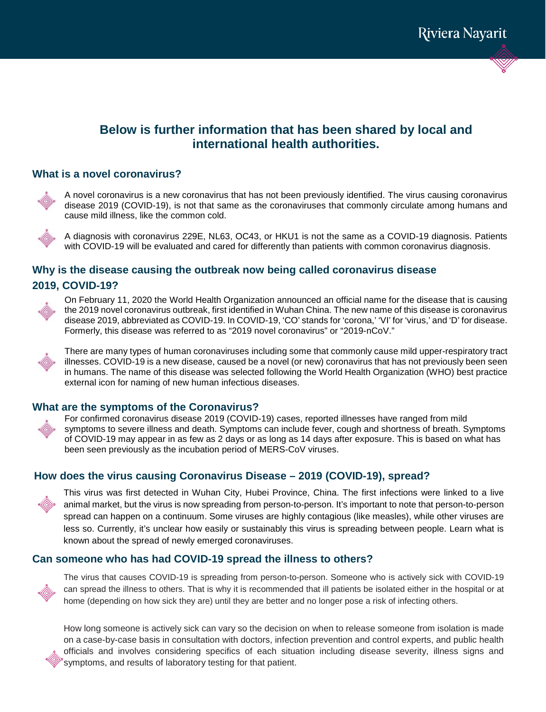# **Below is further information that has been shared by local and international health authorities.**

#### **What is a novel coronavirus?**



A novel coronavirus is a new coronavirus that has not been previously identified. The virus causing coronavirus disease 2019 (COVID-19), is not that same as the coronaviruses that commonly circulate among humans and cause mild illness, like the common cold.

A diagnosis with coronavirus 229E, NL63, OC43, or HKU1 is not the same as a COVID-19 diagnosis. Patients with COVID-19 will be evaluated and cared for differently than patients with common coronavirus diagnosis.

# **Why is the disease causing the outbreak now being called coronavirus disease 2019, COVID-19?**



On February 11, 2020 the World Health Organization announced an official name for the disease that is causing the 2019 novel coronavirus outbreak, first identified in Wuhan China. The new name of this disease is coronavirus disease 2019, abbreviated as COVID-19. In COVID-19, 'CO' stands for 'corona,' 'VI' for 'virus,' and 'D' for disease. Formerly, this disease was referred to as "2019 novel coronavirus" or "2019-nCoV."



There are many types of human coronaviruses including some that commonly cause mild upper-respiratory tract illnesses. COVID-19 is a new disease, caused be a novel (or new) coronavirus that has not previously been seen in humans. The name of this disease was selected following the World Health Organization (WHO) best practice external icon for naming of new human infectious diseases.

#### **What are the symptoms of the Coronavirus?**



For confirmed coronavirus disease 2019 (COVID-19) cases, reported illnesses have ranged from mild symptoms to severe illness and death. Symptoms can include fever, cough and shortness of breath. Symptoms of COVID-19 may appear in as few as 2 days or as long as 14 days after exposure. This is based on what has been seen previously as the incubation period of MERS-CoV viruses.

# **How does the virus causing Coronavirus Disease – 2019 (COVID-19), spread?**



This virus was first detected in Wuhan City, Hubei Province, China. The first infections were linked to a live animal market, but the virus is now spreading from person-to-person. It's important to note that person-to-person spread can happen on a continuum. Some viruses are highly contagious (like measles), while other viruses are less so. Currently, it's unclear how easily or sustainably this virus is spreading between people. Learn what is known about the spread of newly emerged coronaviruses.

## **Can someone who has had COVID-19 spread the illness to others?**



The virus that causes COVID-19 is spreading from person-to-person. Someone who is actively sick with COVID-19 can spread the illness to others. That is why it is recommended that ill patients be isolated either in the hospital or at home (depending on how sick they are) until they are better and no longer pose a risk of infecting others.

How long someone is actively sick can vary so the decision on when to release someone from isolation is made on a case-by-case basis in consultation with doctors, infection prevention and control experts, and public health officials and involves considering specifics of each situation including disease severity, illness signs and symptoms, and results of laboratory testing for that patient.